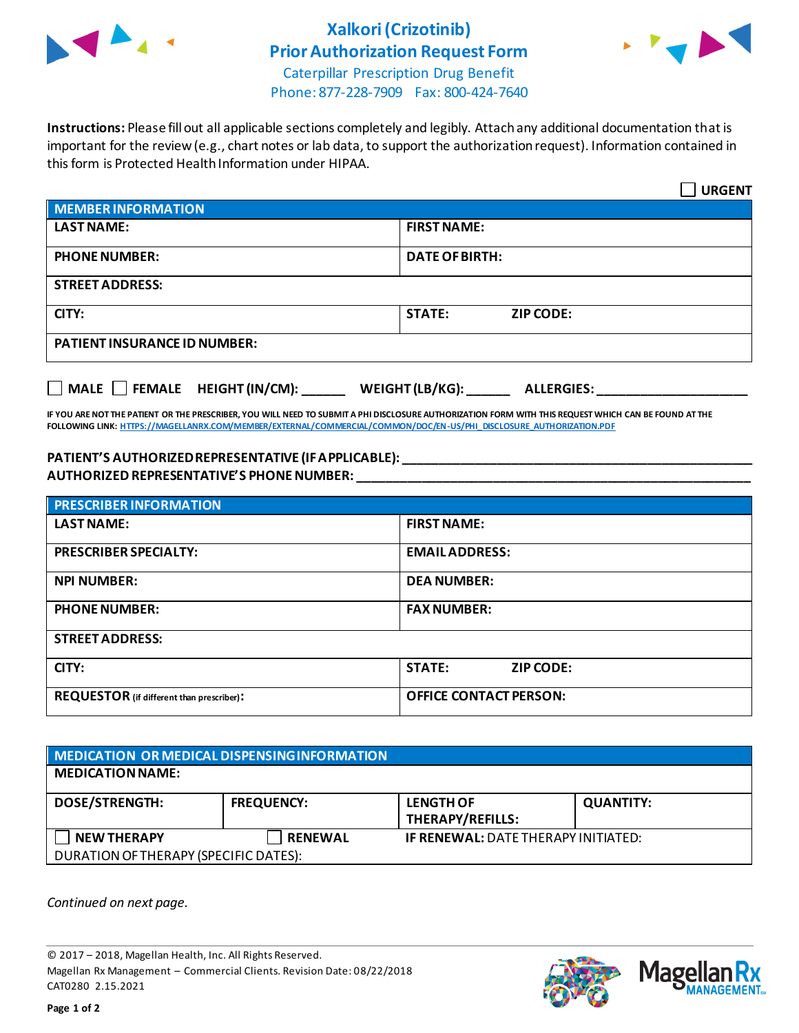

## **Xalkori(Crizotinib) Prior Authorization Request Form**



Caterpillar Prescription Drug Benefit Phone: 877-228-7909 Fax: 800-424-7640

**Instructions:** Please fill out all applicable sections completely and legibly. Attach any additional documentation that is important for the review (e.g., chart notes or lab data, to support the authorization request). Information contained in this form is Protected Health Information under HIPAA.

|                                                                     | <b>URGENT</b>                     |  |  |
|---------------------------------------------------------------------|-----------------------------------|--|--|
| <b>MEMBER INFORMATION</b>                                           |                                   |  |  |
| <b>LAST NAME:</b>                                                   | <b>FIRST NAME:</b>                |  |  |
| <b>PHONE NUMBER:</b>                                                | <b>DATE OF BIRTH:</b>             |  |  |
| <b>STREET ADDRESS:</b>                                              |                                   |  |  |
| CITY:                                                               | <b>STATE:</b><br><b>ZIP CODE:</b> |  |  |
| <b>PATIENT INSURANCE ID NUMBER:</b>                                 |                                   |  |  |
| MALE FEMALE HEIGHT (IN/CM):<br>WEIGHT (LB/KG):<br><b>ALLERGIES:</b> |                                   |  |  |

**IF YOU ARE NOT THE PATIENT OR THE PRESCRIBER, YOU WILL NEED TO SUBMIT A PHI DISCLOSURE AUTHORIZATION FORM WITH THIS REQUEST WHICH CAN BE FOUND AT THE FOLLOWING LINK[: HTTPS://MAGELLANRX.COM/MEMBER/EXTERNAL/COMMERCIAL/COMMON/DOC/EN-US/PHI\\_DISCLOSURE\\_AUTHORIZATION.PDF](https://magellanrx.com/member/external/commercial/common/doc/en-us/PHI_Disclosure_Authorization.pdf)**

## **PATIENT'S AUTHORIZED REPRESENTATIVE (IF APPLICABLE): \_\_\_\_\_\_\_\_\_\_\_\_\_\_\_\_\_\_\_\_\_\_\_\_\_\_\_\_\_\_\_\_\_\_\_\_\_\_\_\_\_\_\_\_\_\_\_\_\_ AUTHORIZED REPRESENTATIVE'S PHONE NUMBER: \_\_\_\_\_\_\_\_\_\_\_\_\_\_\_\_\_\_\_\_\_\_\_\_\_\_\_\_\_\_\_\_\_\_\_\_\_\_\_\_\_\_\_\_\_\_\_\_\_\_\_\_\_\_\_**

| <b>PRESCRIBER INFORMATION</b>             |                               |  |  |
|-------------------------------------------|-------------------------------|--|--|
| <b>LAST NAME:</b>                         | <b>FIRST NAME:</b>            |  |  |
| <b>PRESCRIBER SPECIALTY:</b>              | <b>EMAIL ADDRESS:</b>         |  |  |
| <b>NPI NUMBER:</b>                        | <b>DEA NUMBER:</b>            |  |  |
| <b>PHONE NUMBER:</b>                      | <b>FAX NUMBER:</b>            |  |  |
| <b>STREET ADDRESS:</b>                    |                               |  |  |
| CITY:                                     | <b>STATE:</b><br>ZIP CODE:    |  |  |
| REQUESTOR (if different than prescriber): | <b>OFFICE CONTACT PERSON:</b> |  |  |

| MEDICATION OR MEDICAL DISPENSING INFORMATION |                   |                                            |                  |  |  |
|----------------------------------------------|-------------------|--------------------------------------------|------------------|--|--|
| <b>MEDICATION NAME:</b>                      |                   |                                            |                  |  |  |
| <b>DOSE/STRENGTH:</b>                        | <b>FREQUENCY:</b> | <b>LENGTH OF</b><br>THERAPY/REFILLS:       | <b>QUANTITY:</b> |  |  |
| <b>NEW THERAPY</b>                           | <b>RENEWAL</b>    | <b>IF RENEWAL: DATE THERAPY INITIATED:</b> |                  |  |  |
| DURATION OF THERAPY (SPECIFIC DATES):        |                   |                                            |                  |  |  |

*Continued on next page.*

© 2017 – 2018, Magellan Health, Inc. All Rights Reserved. Magellan Rx Management – Commercial Clients. Revision Date: 08/22/2018 CAT0280 2.15.2021